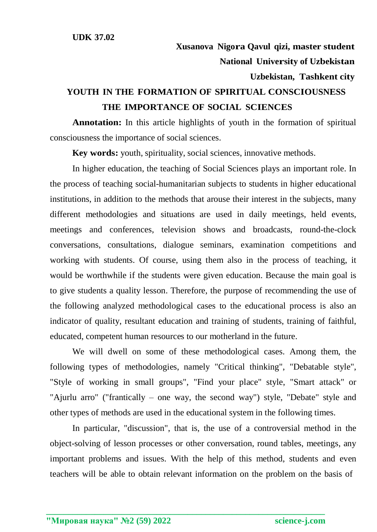## **YOUTH IN THE FORMATION OF SPIRITUAL CONSCIOUSNESS THE IMPORTANCE OF SOCIAL SCIENCES**

**Annotation:** In this article highlights of youth in the formation of spiritual consciousness the importance of social sciences.

**Key words:** youth, spirituality, social sciences, innovative methods.

In higher education, the teaching of Social Sciences plays an important role. In the process of teaching social-humanitarian subjects to students in higher educational institutions, in addition to the methods that arouse their interest in the subjects, many different methodologies and situations are used in daily meetings, held events, meetings and conferences, television shows and broadcasts, round-the-clock conversations, consultations, dialogue seminars, examination competitions and working with students. Of course, using them also in the process of teaching, it would be worthwhile if the students were given education. Because the main goal is to give students a quality lesson. Therefore, the purpose of recommending the use of the following analyzed methodological cases to the educational process is also an indicator of quality, resultant education and training of students, training of faithful, educated, competent human resources to our motherland in the future.

We will dwell on some of these methodological cases. Among them, the following types of methodologies, namely "Critical thinking", "Debatable style", "Style of working in small groups", "Find your place" style, "Smart attack" or "Ajurlu arro" ("frantically – one way, the second way") style, "Debate" style and other types of methods are used in the educational system in the following times.

In particular, "discussion", that is, the use of a controversial method in the object-solving of lesson processes or other conversation, round tables, meetings, any important problems and issues. With the help of this method, students and even teachers will be able to obtain relevant information on the problem on the basis of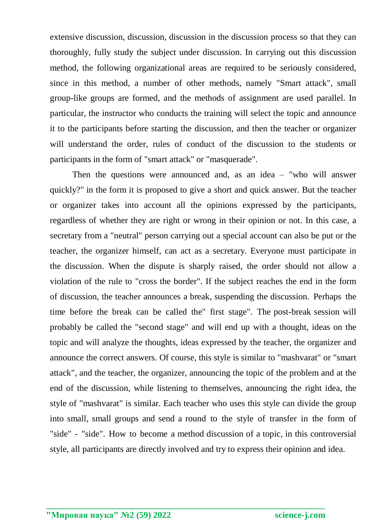extensive discussion, discussion, discussion in the discussion process so that they can thoroughly, fully study the subject under discussion. In carrying out this discussion method, the following organizational areas are required to be seriously considered, since in this method, a number of other methods, namely "Smart attack", small group-like groups are formed, and the methods of assignment are used parallel. In particular, the instructor who conducts the training will select the topic and announce it to the participants before starting the discussion, and then the teacher or organizer will understand the order, rules of conduct of the discussion to the students or participants in the form of "smart attack" or "masquerade".

Then the questions were announced and, as an idea – "who will answer quickly?" in the form it is proposed to give a short and quick answer. But the teacher or organizer takes into account all the opinions expressed by the participants, regardless of whether they are right or wrong in their opinion or not. In this case, a secretary from a "neutral" person carrying out a special account can also be put or the teacher, the organizer himself, can act as a secretary. Everyone must participate in the discussion. When the dispute is sharply raised, the order should not allow a violation of the rule to "cross the border". If the subject reaches the end in the form of discussion, the teacher announces a break, suspending the discussion. Perhaps the time before the break can be called the" first stage". The post-break session will probably be called the "second stage" and will end up with a thought, ideas on the topic and will analyze the thoughts, ideas expressed by the teacher, the organizer and announce the correct answers. Of course, this style is similar to "mashvarat" or "smart attack", and the teacher, the organizer, announcing the topic of the problem and at the end of the discussion, while listening to themselves, announcing the right idea, the style of "mashvarat" is similar. Each teacher who uses this style can divide the group into small, small groups and send a round to the style of transfer in the form of "side" - "side". How to become a method discussion of a topic, in this controversial style, all participants are directly involved and try to express their opinion and idea.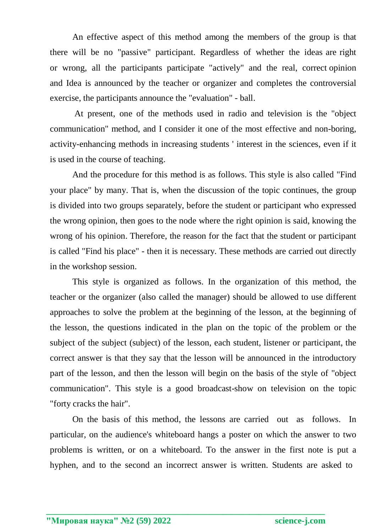An effective aspect of this method among the members of the group is that there will be no "passive" participant. Regardless of whether the ideas are right or wrong, all the participants participate "actively" and the real, correct opinion and Idea is announced by the teacher or organizer and completes the controversial exercise, the participants announce the "evaluation" - ball.

At present, one of the methods used in radio and television is the "object communication" method, and I consider it one of the most effective and non-boring, activity-enhancing methods in increasing students ' interest in the sciences, even if it is used in the course of teaching.

And the procedure for this method is as follows. This style is also called "Find your place" by many. That is, when the discussion of the topic continues, the group is divided into two groups separately, before the student or participant who expressed the wrong opinion, then goes to the node where the right opinion is said, knowing the wrong of his opinion. Therefore, the reason for the fact that the student or participant is called "Find his place" - then it is necessary. These methods are carried out directly in the workshop session.

This style is organized as follows. In the organization of this method, the teacher or the organizer (also called the manager) should be allowed to use different approaches to solve the problem at the beginning of the lesson, at the beginning of the lesson, the questions indicated in the plan on the topic of the problem or the subject of the subject (subject) of the lesson, each student, listener or participant, the correct answer is that they say that the lesson will be announced in the introductory part of the lesson, and then the lesson will begin on the basis of the style of "object communication". This style is a good broadcast-show on television on the topic "forty cracks the hair".

On the basis of this method, the lessons are carried out as follows. In particular, on the audience's whiteboard hangs a poster on which the answer to two problems is written, or on a whiteboard. To the answer in the first note is put a hyphen, and to the second an incorrect answer is written. Students are asked to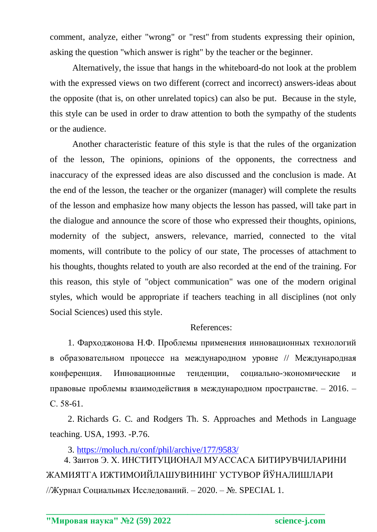comment, analyze, either "wrong" or "rest" from students expressing their opinion, asking the question "which answer is right" by the teacher or the beginner.

Alternatively, the issue that hangs in the whiteboard-do not look at the problem with the expressed views on two different (correct and incorrect) answers-ideas about the opposite (that is, on other unrelated topics) can also be put. Because in the style, this style can be used in order to draw attention to both the sympathy of the students or the audience.

Another characteristic feature of this style is that the rules of the organization of the lesson, The opinions, opinions of the opponents, the correctness and inaccuracy of the expressed ideas are also discussed and the conclusion is made. At the end of the lesson, the teacher or the organizer (manager) will complete the results of the lesson and emphasize how many objects the lesson has passed, will take part in the dialogue and announce the score of those who expressed their thoughts, opinions, modernity of the subject, answers, relevance, married, connected to the vital moments, will contribute to the policy of our state, The processes of attachment to his thoughts, thoughts related to youth are also recorded at the end of the training. For this reason, this style of "object communication" was one of the modern original styles, which would be appropriate if teachers teaching in all disciplines (not only Social Sciences) used this style.

## References:

1. Фарходжонова Н.Ф. Проблемы применения инновационных технологий в образовательном процессе на международном уровне // Международная конференция. Инновационные тенденции, социально-экономические и правовые проблемы взаимодействия в международном пространстве. – 2016. – С. 58-61.

2. Richards G. C. and Rodgers Th. S. Approaches and Methods in Language teaching. USA, 1993. -P.76.

3.<https://moluch.ru/conf/phil/archive/177/9583/>

4. Заитов Э. Х. ИНСТИТУЦИОНАЛ МУАССАСА БИТИРУВЧИЛАРИНИ ЖАМИЯТГА ИЖТИМОИЙЛАШУВИНИНГ УСТУВОР ЙЎНАЛИШЛАРИ //Журнал Социальных Исследований. – 2020. – №. SPECIAL 1.